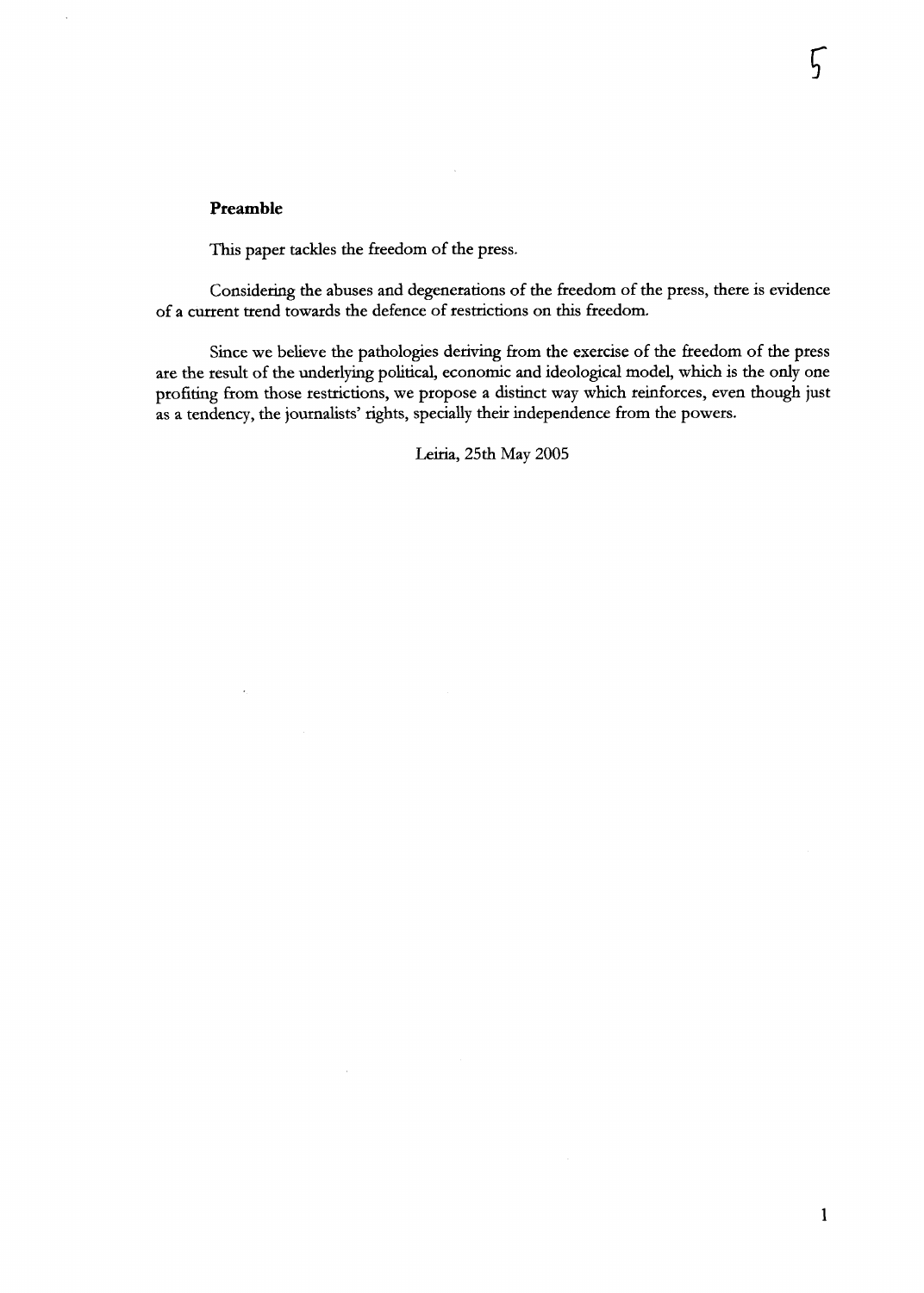## **Preamble**

This paper tackles the fieedom of the press.

Considering the abuses and degenerations of the freedom of the press, there is evidence of a current trend towards the defence of restrictions on this freedom.

 $\mathcal{L}$ 

Since we believe the pathologies deriving from the exercise of the freedom of the press are the result of the underlymg political, economic and ideological model, which is the only one profiting from those restrictions, we propose a distinct way which reinforces, even though just as a tendency, the journalists' rights, specially their independence from the powers.

Leiria, 25th May 2005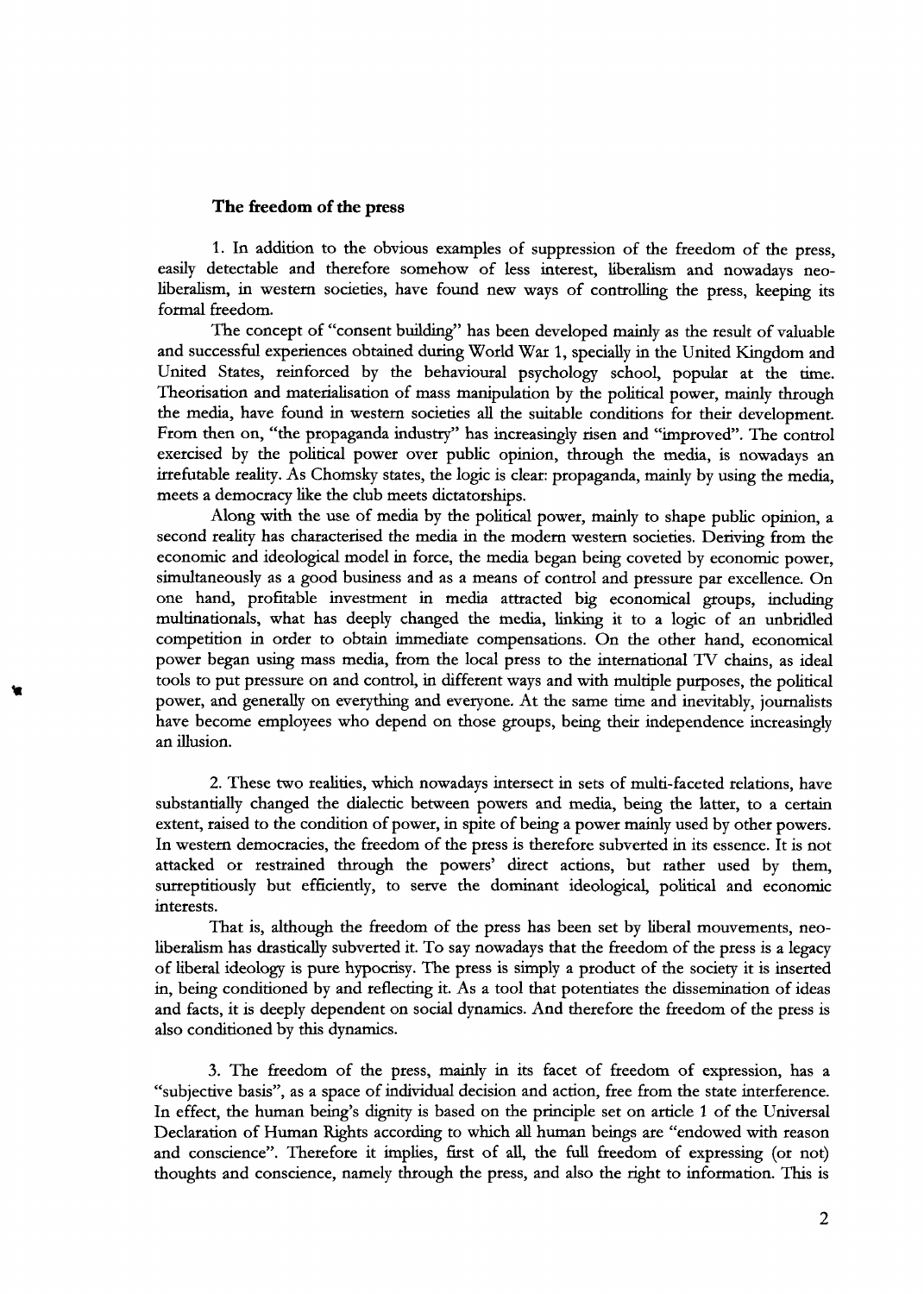## **The freedom of the press**

1. In addition to the obvious examples of suppression of the freedom of the press, easily detectable and therefore somehow of less interest, liberalism and nowadays neoliberalism, in western societies, have found new ways of controlling the press, keeping its formal freedom.

The concept of "consent building" has been developed mainly as the result of valuable and successful experiences obtained during World War 1, specially in the United Kingdom and United States, reinforced by the behavioural psychology school, popular at the time. Theorisation and materialisation of mass manipulation by the political power, mainly through the media, have found in western societies all the suitable conditions for their development. From then on, "the propaganda industry" has increasingly risen and "improved". The control exercised by the political power over public opinion, through the media, is nowadays an irrefutable reality. As Chomsky States, the logic is clear: propaganda, mainly by using the media, meets a democracy like the club meets dictatorships.

Along with the use of media by the political power, mainly to shape public opinion, a second reality has characterised the media in the modem western societies. Deriving from the economic and ideological model in force, the media began being coveted by economic power, simultaneously as a good business and as a means of control and pressure par excellence. On one hand, profitable investrnent in media attracted big economical groups, including multinationals, what has deeply changed the media, linking it to a logic of an unbridled competition in order to obtain immediate compensations. On the other hand, economical power began using mass media, fiom the local press to the international TV chains, as ideal tools to put pressure on and control, in different ways and with multiple purposes, the political power, and generally on everything and everyone. At the same time and inevitably, journalists have become employees who depend on those groups, being their independence increasingly an illusion.

2. These two realities, which nowadays intersect in sets of multi-faceted relations, have substantially changed the dialectic between powers and media, being the latter, to a certain extent, raised to the condition of power, in spite of being a power mainly used by other powers. In western democracies, the freedom of the press is therefore subverted in its essence. It is not attacked or restrained through the powers' direct actions, but rather used by them, surreptitiously but efficiently, to serve the dominant ideological, political and economic interests.

That is, although the freedom of the press has been set by liberal mouvements, neoliberalism has drastically subverted it. To say nowadays that the freedom of the press is a legacy of liberal ideology is pure hypocrisy. The press is simply a product of the Society it is inserted in, being conditioned by and reflecting it. As a tool that potentiates the dissemination of ideas and facts, it is deeply dependent on social dynamics. And therefore the freedom of the press is also conditioned by this dynamics.

**3.** The fieedom of the press, mainly in its facet of freedom of expression, has a "subjective basis", as a space of individual decision and action, free from the state interference. In effect, the human being's dignity is based on the principle set on article 1 of the Universal Declaration of Hurnan Rights according to which **all** hurnan beings are "endowed with reason and conscience". Therefore it implies, first of **all,** the füll freedom of expressing (or not) thoughts and conscience, narnely through the press, and also the right to information. This is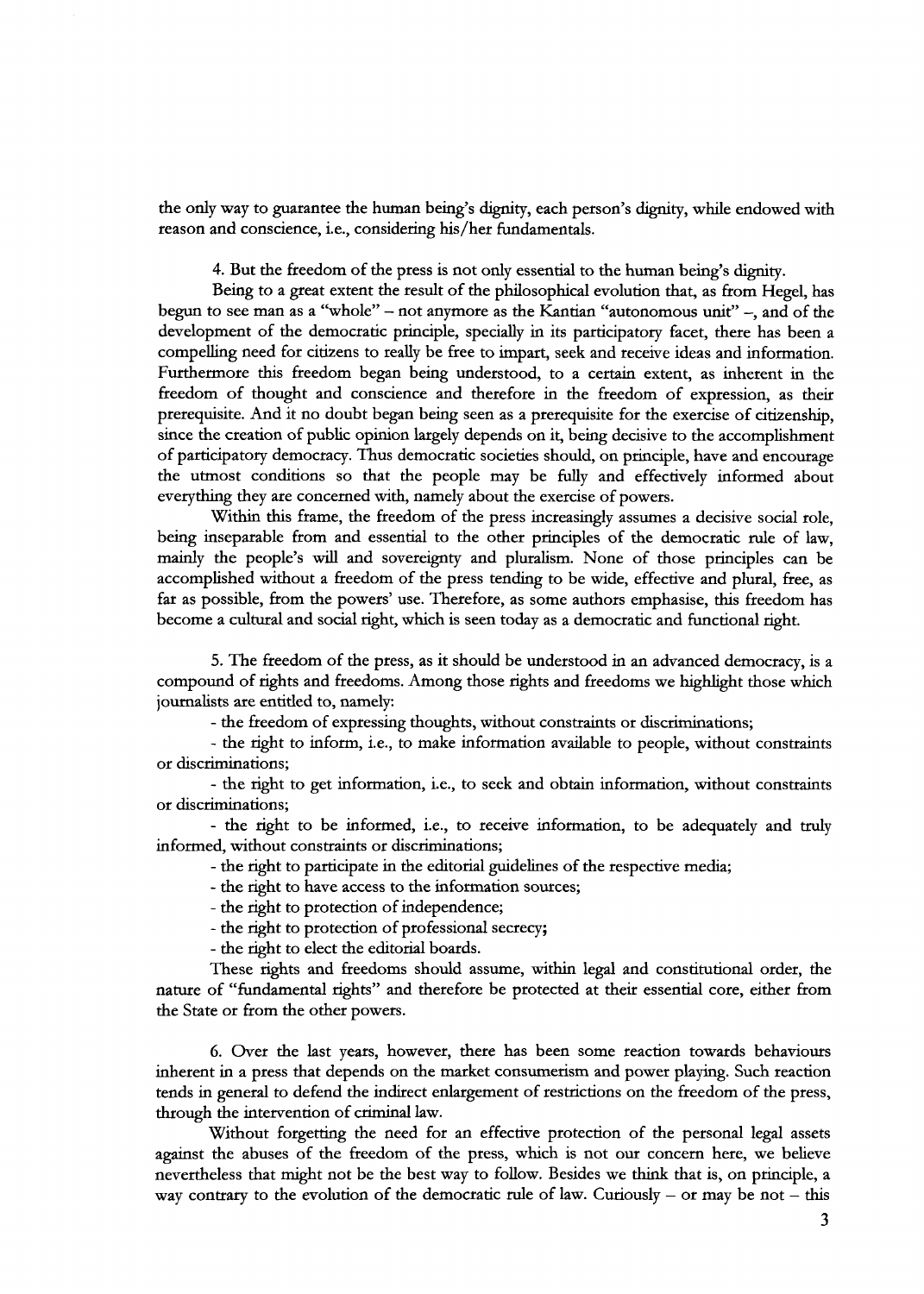the only way to guarantee the human being's dignity, each person's dignity, while endowed with reason and conscience, i.e., considering his/her fundamentals.

4. But the freedom of the press is not only essential to the human being's dignity.

Being to a great extent the result of the philosophical evolution that, as from Hegel, has begun to see man as a "whole" - not anymore as the Kantian "autonomous unit" -, and of the development of the democratic principle, specially in its participatory facet, there has been a compelling need for citizens to really be free to impart, seek and receive ideas and information. Furthermore this freedom began being understood, to a certain extent, as inherent in the freedom of thought and conscience and therefore in the freedom of expression, as their prerequisite. And it no doubt began being seen as a prerequisite for the exercise of citizenship, since the creation of public opinion largely depends on it, being decisive to the accomplishment of participatory democracy. Thus democratic societies should, on principle, have and encourage the utmost conditions so that the people may be fully and effectively informed about everything they are concerned with, namely about the exercise of powers.

Within this frame, the freedom of the press increasingly assumes a decisive social role, being inseparable from and essential to the other principles of the democratic rule of law, mainly the people's will and sovereignty and pluralism. None of those principles can be accomplished without a freedom of the press tending to be wide, effective and plural, free, as far as possible, from the powers' use. Therefore, as some authors emphasise, this freedom has become a cultural and social nght, which is seen today as a democratic and functional right.

5. The freedom of the press, as it should be understood in an advanced democracy, is a compound of rights and freedoms. Among those rights and freedoms we highlight those which journalists are entitled to, namely:

- the freedom of expressing thoughts, without constraints or discriminations;

- the right to inform, i.e., to make information available to people, without constraints or discriminations;

- the nght to get information, i.e., to seek and obtain information, without constraints or discriminations;

- the right to be informed, i.e., to receive information, to be adequately and truly informed, without constraints or discriminations;

- the nght to participate in the editorial guidelines of the respective media;

- the nght to have access to the information sources;

- the right to protection of independence;

- the right to protection of professional secrecy;

- the right to elect the editorial boards.

These nghts and freedoms should assume, within legal and constitutional order, the nature of "fundamental nghts" and therefore be protected at their essential core, either from the State or from the other powers.

6. Over the last years, however, there has been some reaction towards behaviours inherent in a press that depends on the market consumerism and power playing. Such reaction tends in general to defend the indirect enlargement of restrictions on the freedom of the press, through the intervention of criminal law.

Without forgetting the need for an effective protection of the persona1 legal assets agamst the abuses of the freedom of the press, which is not our concern here, we believe nevertheless that rnight not be the best way to follow. Besides we **think** that is, on principle, a way contrary to the evolution of the democratic rule of law. Curiously  $-$  or may be not  $-$  this